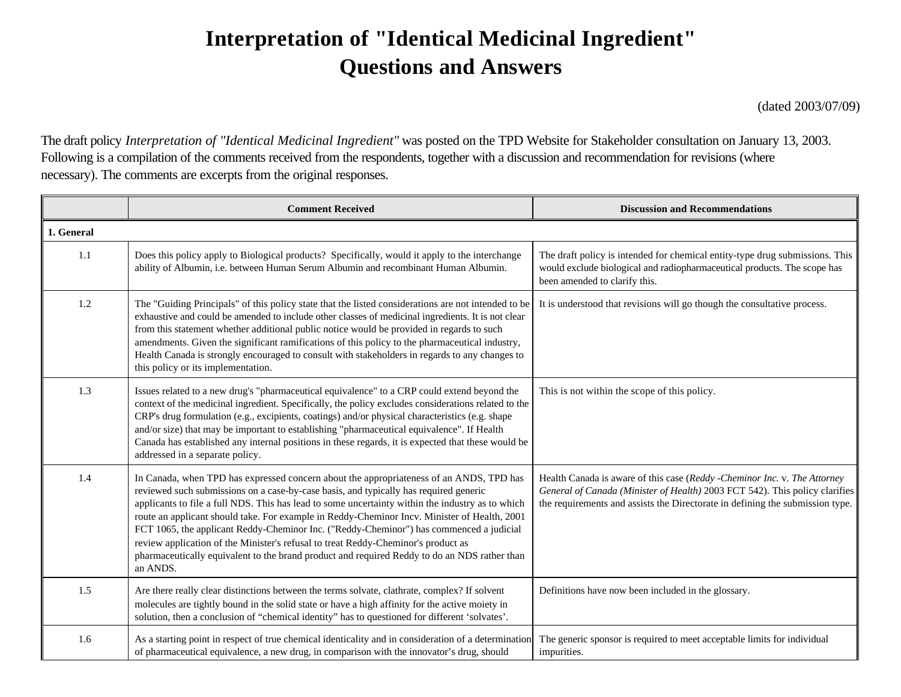## **Interpretation of "Identical Medicinal Ingredient" Questions and Answers**

(dated 2003/07/09)

The draft policy *Interpretation of "Identical Medicinal Ingredient"* was posted on the TPD Website for Stakeholder consultation on January 13, 2003. Following is a compilation of the comments received from the respondents, together with a discussion and recommendation for revisions (where necessary). The comments are excerpts from the original responses.

|            | <b>Comment Received</b>                                                                                                                                                                                                                                                                                                                                                                                                                                                                                                                                                                                                                                                          | <b>Discussion and Recommendations</b>                                                                                                                                                                                                     |
|------------|----------------------------------------------------------------------------------------------------------------------------------------------------------------------------------------------------------------------------------------------------------------------------------------------------------------------------------------------------------------------------------------------------------------------------------------------------------------------------------------------------------------------------------------------------------------------------------------------------------------------------------------------------------------------------------|-------------------------------------------------------------------------------------------------------------------------------------------------------------------------------------------------------------------------------------------|
| 1. General |                                                                                                                                                                                                                                                                                                                                                                                                                                                                                                                                                                                                                                                                                  |                                                                                                                                                                                                                                           |
| 1.1        | Does this policy apply to Biological products? Specifically, would it apply to the interchange<br>ability of Albumin, i.e. between Human Serum Albumin and recombinant Human Albumin.                                                                                                                                                                                                                                                                                                                                                                                                                                                                                            | The draft policy is intended for chemical entity-type drug submissions. This<br>would exclude biological and radiopharmaceutical products. The scope has<br>been amended to clarify this.                                                 |
| 1.2        | The "Guiding Principals" of this policy state that the listed considerations are not intended to be<br>exhaustive and could be amended to include other classes of medicinal ingredients. It is not clear<br>from this statement whether additional public notice would be provided in regards to such<br>amendments. Given the significant ramifications of this policy to the pharmaceutical industry,<br>Health Canada is strongly encouraged to consult with stakeholders in regards to any changes to<br>this policy or its implementation.                                                                                                                                 | It is understood that revisions will go though the consultative process.                                                                                                                                                                  |
| 1.3        | Issues related to a new drug's "pharmaceutical equivalence" to a CRP could extend beyond the<br>context of the medicinal ingredient. Specifically, the policy excludes considerations related to the<br>CRP's drug formulation (e.g., excipients, coatings) and/or physical characteristics (e.g. shape<br>and/or size) that may be important to establishing "pharmaceutical equivalence". If Health<br>Canada has established any internal positions in these regards, it is expected that these would be<br>addressed in a separate policy.                                                                                                                                   | This is not within the scope of this policy.                                                                                                                                                                                              |
| 1.4        | In Canada, when TPD has expressed concern about the appropriateness of an ANDS, TPD has<br>reviewed such submissions on a case-by-case basis, and typically has required generic<br>applicants to file a full NDS. This has lead to some uncertainty within the industry as to which<br>route an applicant should take. For example in Reddy-Cheminor Incv. Minister of Health, 2001<br>FCT 1065, the applicant Reddy-Cheminor Inc. ("Reddy-Cheminor") has commenced a judicial<br>review application of the Minister's refusal to treat Reddy-Cheminor's product as<br>pharmaceutically equivalent to the brand product and required Reddy to do an NDS rather than<br>an ANDS. | Health Canada is aware of this case (Reddy -Cheminor Inc. v. The Attorney<br>General of Canada (Minister of Health) 2003 FCT 542). This policy clarifies<br>the requirements and assists the Directorate in defining the submission type. |
| 1.5        | Are there really clear distinctions between the terms solvate, clathrate, complex? If solvent<br>molecules are tightly bound in the solid state or have a high affinity for the active moiety in<br>solution, then a conclusion of "chemical identity" has to questioned for different 'solvates'.                                                                                                                                                                                                                                                                                                                                                                               | Definitions have now been included in the glossary.                                                                                                                                                                                       |
| 1.6        | As a starting point in respect of true chemical identicality and in consideration of a determination<br>of pharmaceutical equivalence, a new drug, in comparison with the innovator's drug, should                                                                                                                                                                                                                                                                                                                                                                                                                                                                               | The generic sponsor is required to meet acceptable limits for individual<br>impurities.                                                                                                                                                   |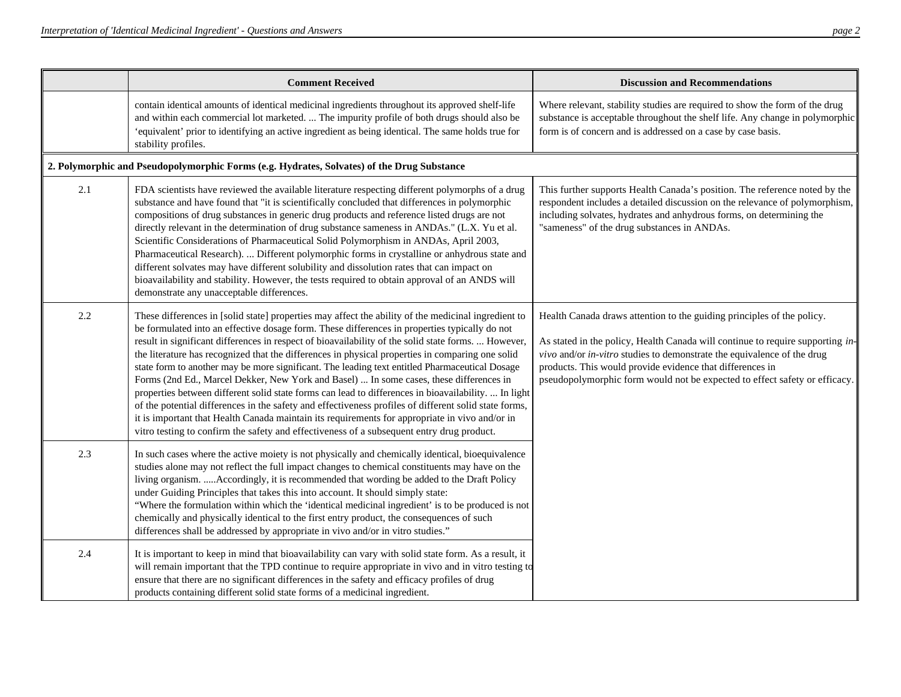|     | <b>Comment Received</b>                                                                                                                                                                                                                                                                                                                                                                                                                                                                                                                                                                                                                                                                                                                                                                                                                                                                                                                                                                                                      | <b>Discussion and Recommendations</b>                                                                                                                                                                                                                                                                                                                                          |
|-----|------------------------------------------------------------------------------------------------------------------------------------------------------------------------------------------------------------------------------------------------------------------------------------------------------------------------------------------------------------------------------------------------------------------------------------------------------------------------------------------------------------------------------------------------------------------------------------------------------------------------------------------------------------------------------------------------------------------------------------------------------------------------------------------------------------------------------------------------------------------------------------------------------------------------------------------------------------------------------------------------------------------------------|--------------------------------------------------------------------------------------------------------------------------------------------------------------------------------------------------------------------------------------------------------------------------------------------------------------------------------------------------------------------------------|
|     | contain identical amounts of identical medicinal ingredients throughout its approved shelf-life<br>and within each commercial lot marketed.  The impurity profile of both drugs should also be<br>'equivalent' prior to identifying an active ingredient as being identical. The same holds true for<br>stability profiles.                                                                                                                                                                                                                                                                                                                                                                                                                                                                                                                                                                                                                                                                                                  | Where relevant, stability studies are required to show the form of the drug<br>substance is acceptable throughout the shelf life. Any change in polymorphic<br>form is of concern and is addressed on a case by case basis.                                                                                                                                                    |
|     | 2. Polymorphic and Pseudopolymorphic Forms (e.g. Hydrates, Solvates) of the Drug Substance                                                                                                                                                                                                                                                                                                                                                                                                                                                                                                                                                                                                                                                                                                                                                                                                                                                                                                                                   |                                                                                                                                                                                                                                                                                                                                                                                |
| 2.1 | FDA scientists have reviewed the available literature respecting different polymorphs of a drug<br>substance and have found that "it is scientifically concluded that differences in polymorphic<br>compositions of drug substances in generic drug products and reference listed drugs are not<br>directly relevant in the determination of drug substance sameness in ANDAs." (L.X. Yu et al.<br>Scientific Considerations of Pharmaceutical Solid Polymorphism in ANDAs, April 2003,<br>Pharmaceutical Research).  Different polymorphic forms in crystalline or anhydrous state and<br>different solvates may have different solubility and dissolution rates that can impact on<br>bioavailability and stability. However, the tests required to obtain approval of an ANDS will<br>demonstrate any unacceptable differences.                                                                                                                                                                                           | This further supports Health Canada's position. The reference noted by the<br>respondent includes a detailed discussion on the relevance of polymorphism,<br>including solvates, hydrates and anhydrous forms, on determining the<br>"sameness" of the drug substances in ANDAs.                                                                                               |
| 2.2 | These differences in [solid state] properties may affect the ability of the medicinal ingredient to<br>be formulated into an effective dosage form. These differences in properties typically do not<br>result in significant differences in respect of bioavailability of the solid state forms.  However,<br>the literature has recognized that the differences in physical properties in comparing one solid<br>state form to another may be more significant. The leading text entitled Pharmaceutical Dosage<br>Forms (2nd Ed., Marcel Dekker, New York and Basel)  In some cases, these differences in<br>properties between different solid state forms can lead to differences in bioavailability.  In light<br>of the potential differences in the safety and effectiveness profiles of different solid state forms,<br>it is important that Health Canada maintain its requirements for appropriate in vivo and/or in<br>vitro testing to confirm the safety and effectiveness of a subsequent entry drug product. | Health Canada draws attention to the guiding principles of the policy.<br>As stated in the policy, Health Canada will continue to require supporting in-<br>vivo and/or in-vitro studies to demonstrate the equivalence of the drug<br>products. This would provide evidence that differences in<br>pseudopolymorphic form would not be expected to effect safety or efficacy. |
| 2.3 | In such cases where the active moiety is not physically and chemically identical, bioequivalence<br>studies alone may not reflect the full impact changes to chemical constituents may have on the<br>living organism.  Accordingly, it is recommended that wording be added to the Draft Policy<br>under Guiding Principles that takes this into account. It should simply state:<br>"Where the formulation within which the 'identical medicinal ingredient' is to be produced is not<br>chemically and physically identical to the first entry product, the consequences of such<br>differences shall be addressed by appropriate in vivo and/or in vitro studies."                                                                                                                                                                                                                                                                                                                                                       |                                                                                                                                                                                                                                                                                                                                                                                |
| 2.4 | It is important to keep in mind that bioavailability can vary with solid state form. As a result, it<br>will remain important that the TPD continue to require appropriate in vivo and in vitro testing to<br>ensure that there are no significant differences in the safety and efficacy profiles of drug<br>products containing different solid state forms of a medicinal ingredient.                                                                                                                                                                                                                                                                                                                                                                                                                                                                                                                                                                                                                                     |                                                                                                                                                                                                                                                                                                                                                                                |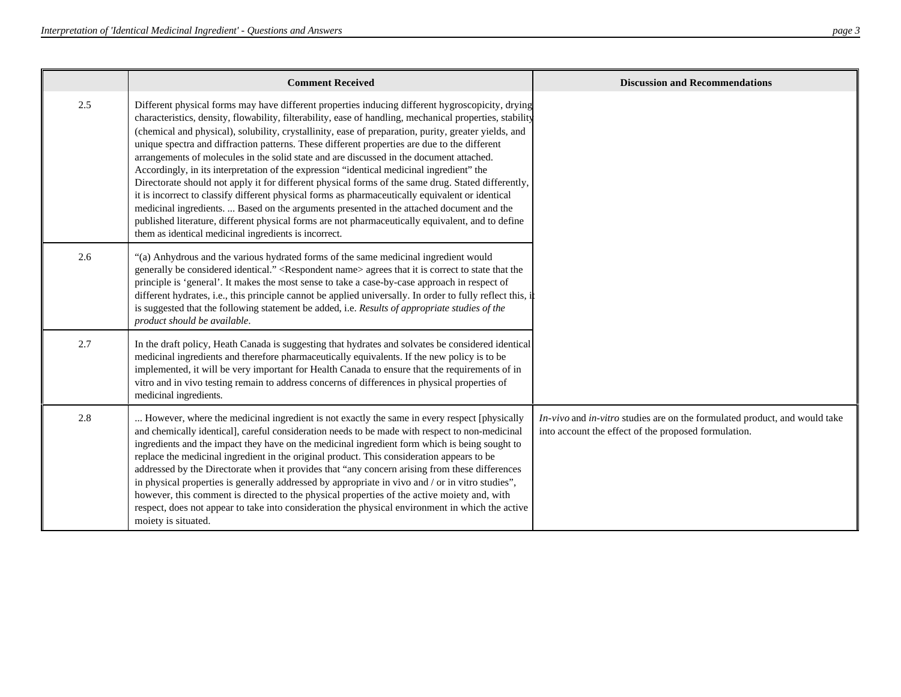|     | <b>Comment Received</b>                                                                                                                                                                                                                                                                                                                                                                                                                                                                                                                                                                                                                                                                                                                                                                                                                                                                                                                                                                                                                                                            | <b>Discussion and Recommendations</b>                                                                                              |
|-----|------------------------------------------------------------------------------------------------------------------------------------------------------------------------------------------------------------------------------------------------------------------------------------------------------------------------------------------------------------------------------------------------------------------------------------------------------------------------------------------------------------------------------------------------------------------------------------------------------------------------------------------------------------------------------------------------------------------------------------------------------------------------------------------------------------------------------------------------------------------------------------------------------------------------------------------------------------------------------------------------------------------------------------------------------------------------------------|------------------------------------------------------------------------------------------------------------------------------------|
| 2.5 | Different physical forms may have different properties inducing different hygroscopicity, drying<br>characteristics, density, flowability, filterability, ease of handling, mechanical properties, stability<br>(chemical and physical), solubility, crystallinity, ease of preparation, purity, greater yields, and<br>unique spectra and diffraction patterns. These different properties are due to the different<br>arrangements of molecules in the solid state and are discussed in the document attached.<br>Accordingly, in its interpretation of the expression "identical medicinal ingredient" the<br>Directorate should not apply it for different physical forms of the same drug. Stated differently,<br>it is incorrect to classify different physical forms as pharmaceutically equivalent or identical<br>medicinal ingredients.  Based on the arguments presented in the attached document and the<br>published literature, different physical forms are not pharmaceutically equivalent, and to define<br>them as identical medicinal ingredients is incorrect. |                                                                                                                                    |
| 2.6 | "(a) Anhydrous and the various hydrated forms of the same medicinal ingredient would<br>generally be considered identical." <respondent name=""> agrees that it is correct to state that the<br/>principle is 'general'. It makes the most sense to take a case-by-case approach in respect of<br/>different hydrates, i.e., this principle cannot be applied universally. In order to fully reflect this, i<br/>is suggested that the following statement be added, i.e. Results of appropriate studies of the<br/>product should be available.</respondent>                                                                                                                                                                                                                                                                                                                                                                                                                                                                                                                      |                                                                                                                                    |
| 2.7 | In the draft policy, Heath Canada is suggesting that hydrates and solvates be considered identical<br>medicinal ingredients and therefore pharmaceutically equivalents. If the new policy is to be<br>implemented, it will be very important for Health Canada to ensure that the requirements of in<br>vitro and in vivo testing remain to address concerns of differences in physical properties of<br>medicinal ingredients.                                                                                                                                                                                                                                                                                                                                                                                                                                                                                                                                                                                                                                                    |                                                                                                                                    |
| 2.8 | However, where the medicinal ingredient is not exactly the same in every respect [physically<br>and chemically identical], careful consideration needs to be made with respect to non-medicinal<br>ingredients and the impact they have on the medicinal ingredient form which is being sought to<br>replace the medicinal ingredient in the original product. This consideration appears to be<br>addressed by the Directorate when it provides that "any concern arising from these differences<br>in physical properties is generally addressed by appropriate in vivo and / or in vitro studies",<br>however, this comment is directed to the physical properties of the active moiety and, with<br>respect, does not appear to take into consideration the physical environment in which the active<br>moiety is situated.                                                                                                                                                                                                                                                    | In-vivo and in-vitro studies are on the formulated product, and would take<br>into account the effect of the proposed formulation. |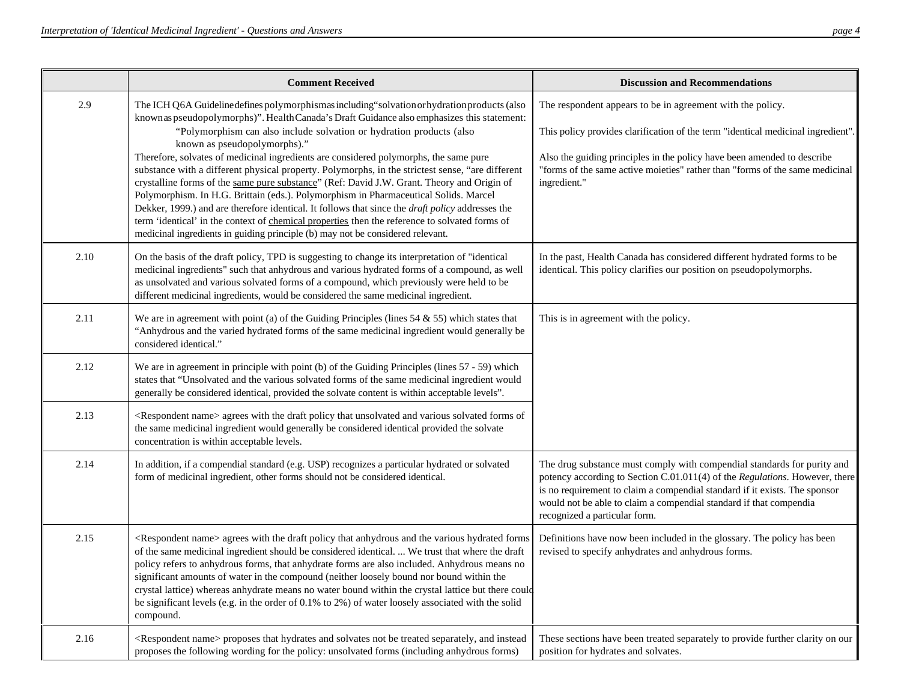|      | <b>Comment Received</b>                                                                                                                                                                                                                                                                                                                                                                                                                                                                                                                                                                                                                                                                                                                                                                                                                                                                                                                                                                | <b>Discussion and Recommendations</b>                                                                                                                                                                                                                                                                                                       |
|------|----------------------------------------------------------------------------------------------------------------------------------------------------------------------------------------------------------------------------------------------------------------------------------------------------------------------------------------------------------------------------------------------------------------------------------------------------------------------------------------------------------------------------------------------------------------------------------------------------------------------------------------------------------------------------------------------------------------------------------------------------------------------------------------------------------------------------------------------------------------------------------------------------------------------------------------------------------------------------------------|---------------------------------------------------------------------------------------------------------------------------------------------------------------------------------------------------------------------------------------------------------------------------------------------------------------------------------------------|
| 2.9  | The ICH Q6A Guideline defines polymorphismas including "solvation or hydration products (also<br>known as pseudopolymorphs)". Health Canada's Draft Guidance also emphasizes this statement:<br>"Polymorphism can also include solvation or hydration products (also<br>known as pseudopolymorphs)."<br>Therefore, solvates of medicinal ingredients are considered polymorphs, the same pure<br>substance with a different physical property. Polymorphs, in the strictest sense, "are different<br>crystalline forms of the same pure substance" (Ref: David J.W. Grant. Theory and Origin of<br>Polymorphism. In H.G. Brittain (eds.). Polymorphism in Pharmaceutical Solids. Marcel<br>Dekker, 1999.) and are therefore identical. It follows that since the <i>draft policy</i> addresses the<br>term 'identical' in the context of chemical properties then the reference to solvated forms of<br>medicinal ingredients in guiding principle (b) may not be considered relevant. | The respondent appears to be in agreement with the policy.<br>This policy provides clarification of the term "identical medicinal ingredient".<br>Also the guiding principles in the policy have been amended to describe<br>"forms of the same active moieties" rather than "forms of the same medicinal<br>ingredient."                   |
| 2.10 | On the basis of the draft policy, TPD is suggesting to change its interpretation of "identical<br>medicinal ingredients" such that anhydrous and various hydrated forms of a compound, as well<br>as unsolvated and various solvated forms of a compound, which previously were held to be<br>different medicinal ingredients, would be considered the same medicinal ingredient.                                                                                                                                                                                                                                                                                                                                                                                                                                                                                                                                                                                                      | In the past, Health Canada has considered different hydrated forms to be<br>identical. This policy clarifies our position on pseudopolymorphs.                                                                                                                                                                                              |
| 2.11 | We are in agreement with point (a) of the Guiding Principles (lines $54 \& 55$ ) which states that<br>"Anhydrous and the varied hydrated forms of the same medicinal ingredient would generally be<br>considered identical."                                                                                                                                                                                                                                                                                                                                                                                                                                                                                                                                                                                                                                                                                                                                                           | This is in agreement with the policy.                                                                                                                                                                                                                                                                                                       |
| 2.12 | We are in agreement in principle with point (b) of the Guiding Principles (lines 57 - 59) which<br>states that "Unsolvated and the various solvated forms of the same medicinal ingredient would<br>generally be considered identical, provided the solvate content is within acceptable levels".                                                                                                                                                                                                                                                                                                                                                                                                                                                                                                                                                                                                                                                                                      |                                                                                                                                                                                                                                                                                                                                             |
| 2.13 | <respondent name=""> agrees with the draft policy that unsolvated and various solvated forms of<br/>the same medicinal ingredient would generally be considered identical provided the solvate<br/>concentration is within acceptable levels.</respondent>                                                                                                                                                                                                                                                                                                                                                                                                                                                                                                                                                                                                                                                                                                                             |                                                                                                                                                                                                                                                                                                                                             |
| 2.14 | In addition, if a compendial standard (e.g. USP) recognizes a particular hydrated or solvated<br>form of medicinal ingredient, other forms should not be considered identical.                                                                                                                                                                                                                                                                                                                                                                                                                                                                                                                                                                                                                                                                                                                                                                                                         | The drug substance must comply with compendial standards for purity and<br>potency according to Section C.01.011(4) of the Regulations. However, there<br>is no requirement to claim a compendial standard if it exists. The sponsor<br>would not be able to claim a compendial standard if that compendia<br>recognized a particular form. |
| 2.15 | <respondent name=""> agrees with the draft policy that anhydrous and the various hydrated forms<br/>of the same medicinal ingredient should be considered identical.  We trust that where the draft<br/>policy refers to anhydrous forms, that anhydrate forms are also included. Anhydrous means no<br/>significant amounts of water in the compound (neither loosely bound nor bound within the<br/>crystal lattice) whereas anhydrate means no water bound within the crystal lattice but there could<br/>be significant levels (e.g. in the order of <math>0.1\%</math> to 2%) of water loosely associated with the solid<br/>compound.</respondent>                                                                                                                                                                                                                                                                                                                               | Definitions have now been included in the glossary. The policy has been<br>revised to specify anhydrates and anhydrous forms.                                                                                                                                                                                                               |
| 2.16 | <respondent name=""> proposes that hydrates and solvates not be treated separately, and instead<br/>proposes the following wording for the policy: unsolvated forms (including anhydrous forms)</respondent>                                                                                                                                                                                                                                                                                                                                                                                                                                                                                                                                                                                                                                                                                                                                                                           | These sections have been treated separately to provide further clarity on our<br>position for hydrates and solvates.                                                                                                                                                                                                                        |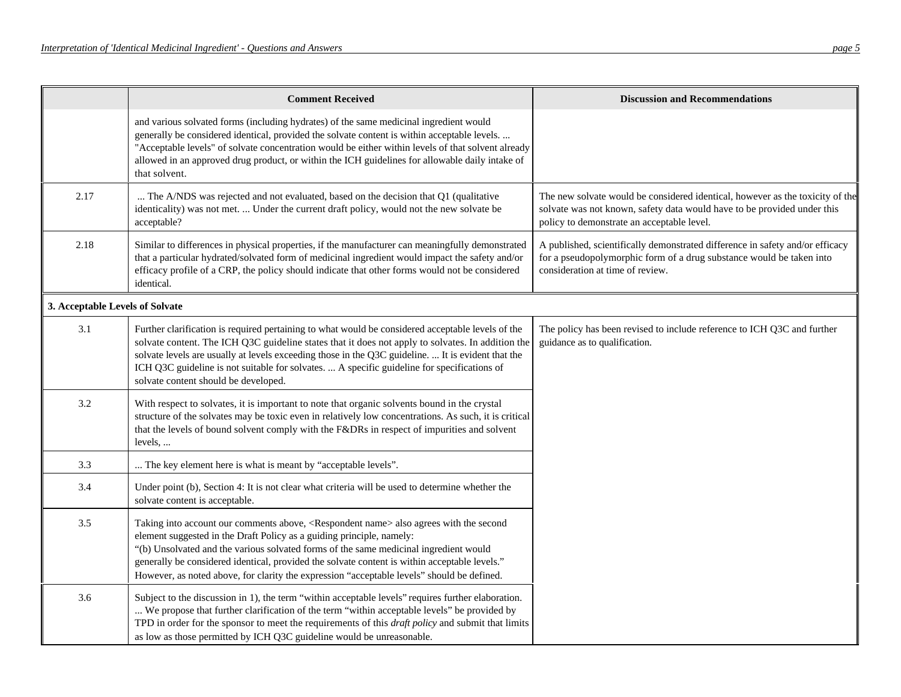|                                 | <b>Comment Received</b>                                                                                                                                                                                                                                                                                                                                                                                                                                                    | <b>Discussion and Recommendations</b>                                                                                                                                                                  |
|---------------------------------|----------------------------------------------------------------------------------------------------------------------------------------------------------------------------------------------------------------------------------------------------------------------------------------------------------------------------------------------------------------------------------------------------------------------------------------------------------------------------|--------------------------------------------------------------------------------------------------------------------------------------------------------------------------------------------------------|
|                                 | and various solvated forms (including hydrates) of the same medicinal ingredient would<br>generally be considered identical, provided the solvate content is within acceptable levels.<br>"Acceptable levels" of solvate concentration would be either within levels of that solvent already<br>allowed in an approved drug product, or within the ICH guidelines for allowable daily intake of<br>that solvent.                                                           |                                                                                                                                                                                                        |
| 2.17                            | The A/NDS was rejected and not evaluated, based on the decision that Q1 (qualitative<br>identicality) was not met.  Under the current draft policy, would not the new solvate be<br>acceptable?                                                                                                                                                                                                                                                                            | The new solvate would be considered identical, however as the toxicity of the<br>solvate was not known, safety data would have to be provided under this<br>policy to demonstrate an acceptable level. |
| 2.18                            | Similar to differences in physical properties, if the manufacturer can meaningfully demonstrated<br>that a particular hydrated/solvated form of medicinal ingredient would impact the safety and/or<br>efficacy profile of a CRP, the policy should indicate that other forms would not be considered<br>identical.                                                                                                                                                        | A published, scientifically demonstrated difference in safety and/or efficacy<br>for a pseudopolymorphic form of a drug substance would be taken into<br>consideration at time of review.              |
| 3. Acceptable Levels of Solvate |                                                                                                                                                                                                                                                                                                                                                                                                                                                                            |                                                                                                                                                                                                        |
| 3.1                             | Further clarification is required pertaining to what would be considered acceptable levels of the<br>solvate content. The ICH Q3C guideline states that it does not apply to solvates. In addition the<br>solvate levels are usually at levels exceeding those in the Q3C guideline.  It is evident that the<br>ICH Q3C guideline is not suitable for solvates.  A specific guideline for specifications of<br>solvate content should be developed.                        | The policy has been revised to include reference to ICH Q3C and further<br>guidance as to qualification.                                                                                               |
| 3.2                             | With respect to solvates, it is important to note that organic solvents bound in the crystal<br>structure of the solvates may be toxic even in relatively low concentrations. As such, it is critical<br>that the levels of bound solvent comply with the F&DRs in respect of impurities and solvent<br>levels,                                                                                                                                                            |                                                                                                                                                                                                        |
| 3.3                             | The key element here is what is meant by "acceptable levels".                                                                                                                                                                                                                                                                                                                                                                                                              |                                                                                                                                                                                                        |
| 3.4                             | Under point (b), Section 4: It is not clear what criteria will be used to determine whether the<br>solvate content is acceptable.                                                                                                                                                                                                                                                                                                                                          |                                                                                                                                                                                                        |
| 3.5                             | Taking into account our comments above, <respondent name=""> also agrees with the second<br/>element suggested in the Draft Policy as a guiding principle, namely:<br/>"(b) Unsolvated and the various solvated forms of the same medicinal ingredient would<br/>generally be considered identical, provided the solvate content is within acceptable levels."<br/>However, as noted above, for clarity the expression "acceptable levels" should be defined.</respondent> |                                                                                                                                                                                                        |
| 3.6                             | Subject to the discussion in 1), the term "within acceptable levels" requires further elaboration.<br>We propose that further clarification of the term "within acceptable levels" be provided by<br>TPD in order for the sponsor to meet the requirements of this <i>draft policy</i> and submit that limits<br>as low as those permitted by ICH Q3C guideline would be unreasonable.                                                                                     |                                                                                                                                                                                                        |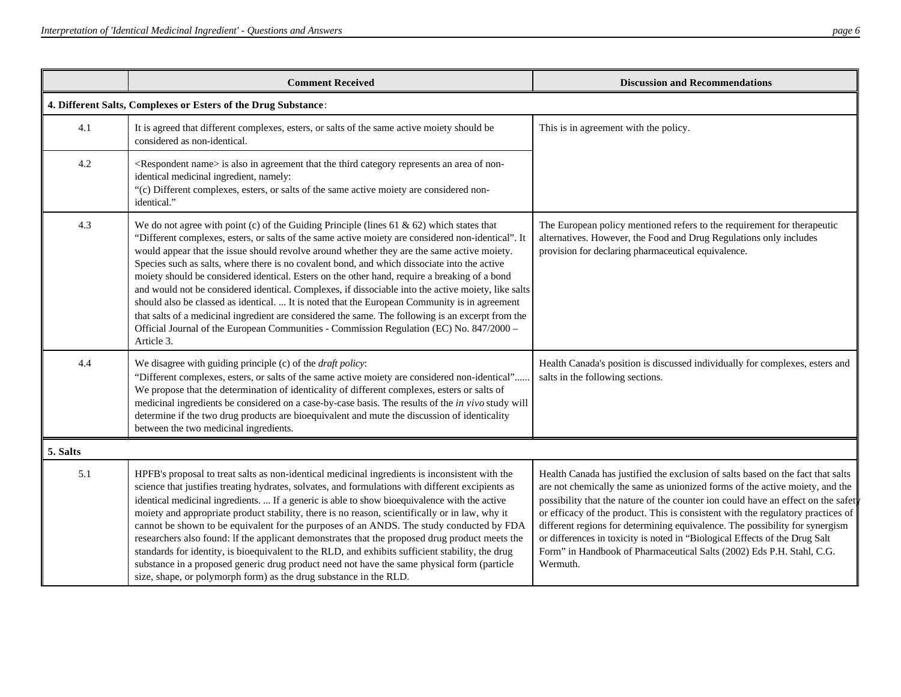|          | <b>Comment Received</b>                                                                                                                                                                                                                                                                                                                                                                                                                                                                                                                                                                                                                                                                                                                                                                                                                                                                                                | <b>Discussion and Recommendations</b>                                                                                                                                                                                                                                                                                                                                                                                                                                                                                                                                                      |
|----------|------------------------------------------------------------------------------------------------------------------------------------------------------------------------------------------------------------------------------------------------------------------------------------------------------------------------------------------------------------------------------------------------------------------------------------------------------------------------------------------------------------------------------------------------------------------------------------------------------------------------------------------------------------------------------------------------------------------------------------------------------------------------------------------------------------------------------------------------------------------------------------------------------------------------|--------------------------------------------------------------------------------------------------------------------------------------------------------------------------------------------------------------------------------------------------------------------------------------------------------------------------------------------------------------------------------------------------------------------------------------------------------------------------------------------------------------------------------------------------------------------------------------------|
|          | 4. Different Salts, Complexes or Esters of the Drug Substance:                                                                                                                                                                                                                                                                                                                                                                                                                                                                                                                                                                                                                                                                                                                                                                                                                                                         |                                                                                                                                                                                                                                                                                                                                                                                                                                                                                                                                                                                            |
| 4.1      | It is agreed that different complexes, esters, or salts of the same active moiety should be<br>considered as non-identical.                                                                                                                                                                                                                                                                                                                                                                                                                                                                                                                                                                                                                                                                                                                                                                                            | This is in agreement with the policy.                                                                                                                                                                                                                                                                                                                                                                                                                                                                                                                                                      |
| 4.2      | <respondent name=""> is also in agreement that the third category represents an area of non-<br/>identical medicinal ingredient, namely:<br/>"(c) Different complexes, esters, or salts of the same active moiety are considered non-<br/>identical."</respondent>                                                                                                                                                                                                                                                                                                                                                                                                                                                                                                                                                                                                                                                     |                                                                                                                                                                                                                                                                                                                                                                                                                                                                                                                                                                                            |
| 4.3      | We do not agree with point (c) of the Guiding Principle (lines 61 & 62) which states that<br>"Different complexes, esters, or salts of the same active moiety are considered non-identical". It<br>would appear that the issue should revolve around whether they are the same active moiety.<br>Species such as salts, where there is no covalent bond, and which dissociate into the active<br>moiety should be considered identical. Esters on the other hand, require a breaking of a bond<br>and would not be considered identical. Complexes, if dissociable into the active moiety, like salts<br>should also be classed as identical.  It is noted that the European Community is in agreement<br>that salts of a medicinal ingredient are considered the same. The following is an excerpt from the<br>Official Journal of the European Communities - Commission Regulation (EC) No. 847/2000 -<br>Article 3. | The European policy mentioned refers to the requirement for therapeutic<br>alternatives. However, the Food and Drug Regulations only includes<br>provision for declaring pharmaceutical equivalence.                                                                                                                                                                                                                                                                                                                                                                                       |
| 4.4      | We disagree with guiding principle (c) of the <i>draft policy</i> :<br>"Different complexes, esters, or salts of the same active moiety are considered non-identical"<br>We propose that the determination of identicality of different complexes, esters or salts of<br>medicinal ingredients be considered on a case-by-case basis. The results of the in vivo study will<br>determine if the two drug products are bioequivalent and mute the discussion of identicality<br>between the two medicinal ingredients.                                                                                                                                                                                                                                                                                                                                                                                                  | Health Canada's position is discussed individually for complexes, esters and<br>salts in the following sections.                                                                                                                                                                                                                                                                                                                                                                                                                                                                           |
| 5. Salts |                                                                                                                                                                                                                                                                                                                                                                                                                                                                                                                                                                                                                                                                                                                                                                                                                                                                                                                        |                                                                                                                                                                                                                                                                                                                                                                                                                                                                                                                                                                                            |
| 5.1      | HPFB's proposal to treat salts as non-identical medicinal ingredients is inconsistent with the<br>science that justifies treating hydrates, solvates, and formulations with different excipients as<br>identical medicinal ingredients.  If a generic is able to show bioequivalence with the active<br>moiety and appropriate product stability, there is no reason, scientifically or in law, why it<br>cannot be shown to be equivalent for the purposes of an ANDS. The study conducted by FDA<br>researchers also found: If the applicant demonstrates that the proposed drug product meets the<br>standards for identity, is bioequivalent to the RLD, and exhibits sufficient stability, the drug<br>substance in a proposed generic drug product need not have the same physical form (particle<br>size, shape, or polymorph form) as the drug substance in the RLD.                                           | Health Canada has justified the exclusion of salts based on the fact that salts<br>are not chemically the same as unionized forms of the active moiety, and the<br>possibility that the nature of the counter ion could have an effect on the safet<br>or efficacy of the product. This is consistent with the regulatory practices of<br>different regions for determining equivalence. The possibility for synergism<br>or differences in toxicity is noted in "Biological Effects of the Drug Salt<br>Form" in Handbook of Pharmaceutical Salts (2002) Eds P.H. Stahl, C.G.<br>Wermuth. |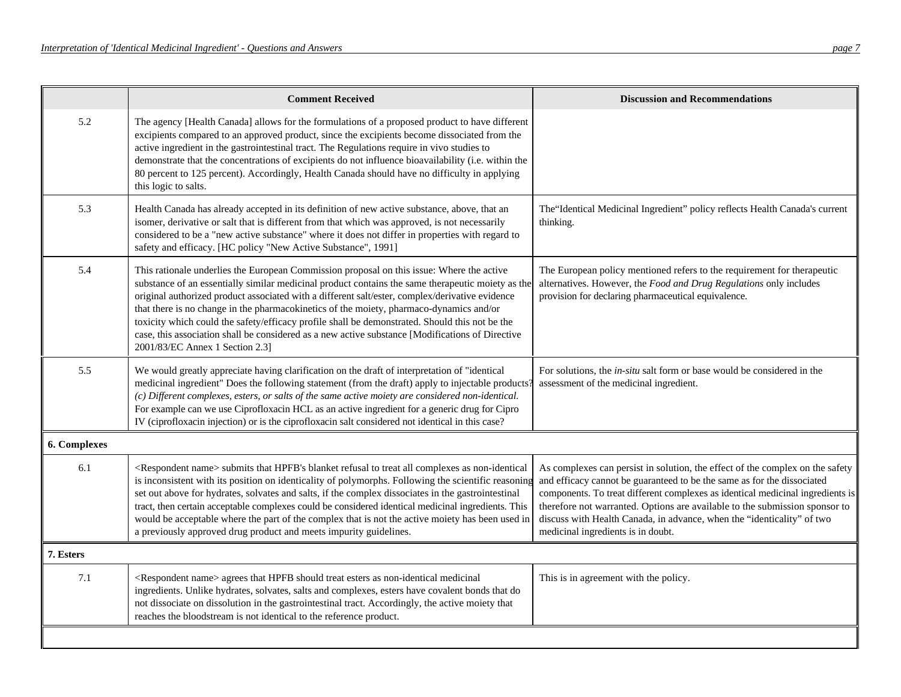| <b>Comment Received</b>                                                                                                                                                                                                                                                                                                                                                                                                                                                                                                                                                                                                               | <b>Discussion and Recommendations</b>                                                                                                                                                                                                                                                                                                                                                                                                     |
|---------------------------------------------------------------------------------------------------------------------------------------------------------------------------------------------------------------------------------------------------------------------------------------------------------------------------------------------------------------------------------------------------------------------------------------------------------------------------------------------------------------------------------------------------------------------------------------------------------------------------------------|-------------------------------------------------------------------------------------------------------------------------------------------------------------------------------------------------------------------------------------------------------------------------------------------------------------------------------------------------------------------------------------------------------------------------------------------|
| The agency [Health Canada] allows for the formulations of a proposed product to have different<br>excipients compared to an approved product, since the excipients become dissociated from the<br>active ingredient in the gastrointestinal tract. The Regulations require in vivo studies to<br>demonstrate that the concentrations of excipients do not influence bioavailability (i.e. within the<br>80 percent to 125 percent). Accordingly, Health Canada should have no difficulty in applying<br>this logic to salts.                                                                                                          |                                                                                                                                                                                                                                                                                                                                                                                                                                           |
| Health Canada has already accepted in its definition of new active substance, above, that an<br>isomer, derivative or salt that is different from that which was approved, is not necessarily<br>considered to be a "new active substance" where it does not differ in properties with regard to<br>safety and efficacy. [HC policy "New Active Substance", 1991]                                                                                                                                                                                                                                                                     | The "Identical Medicinal Ingredient" policy reflects Health Canada's current<br>thinking.                                                                                                                                                                                                                                                                                                                                                 |
| This rationale underlies the European Commission proposal on this issue: Where the active<br>substance of an essentially similar medicinal product contains the same therapeutic moiety as the<br>original authorized product associated with a different salt/ester, complex/derivative evidence<br>that there is no change in the pharmacokinetics of the moiety, pharmaco-dynamics and/or<br>toxicity which could the safety/efficacy profile shall be demonstrated. Should this not be the<br>case, this association shall be considered as a new active substance [Modifications of Directive<br>2001/83/EC Annex 1 Section 2.3] | The European policy mentioned refers to the requirement for therapeutic<br>alternatives. However, the Food and Drug Regulations only includes<br>provision for declaring pharmaceutical equivalence.                                                                                                                                                                                                                                      |
| We would greatly appreciate having clarification on the draft of interpretation of "identical<br>medicinal ingredient" Does the following statement (from the draft) apply to injectable products?<br>(c) Different complexes, esters, or salts of the same active moiety are considered non-identical.<br>For example can we use Ciprofloxacin HCL as an active ingredient for a generic drug for Cipro<br>IV (ciprofloxacin injection) or is the ciprofloxacin salt considered not identical in this case?                                                                                                                          | For solutions, the <i>in-situ</i> salt form or base would be considered in the<br>assessment of the medicinal ingredient.                                                                                                                                                                                                                                                                                                                 |
|                                                                                                                                                                                                                                                                                                                                                                                                                                                                                                                                                                                                                                       |                                                                                                                                                                                                                                                                                                                                                                                                                                           |
| <respondent name=""> submits that HPFB's blanket refusal to treat all complexes as non-identical<br/>is inconsistent with its position on identicality of polymorphs. Following the scientific reasoning<br/>set out above for hydrates, solvates and salts, if the complex dissociates in the gastrointestinal<br/>tract, then certain acceptable complexes could be considered identical medicinal ingredients. This<br/>would be acceptable where the part of the complex that is not the active moiety has been used in<br/>a previously approved drug product and meets impurity guidelines.</respondent>                        | As complexes can persist in solution, the effect of the complex on the safety<br>and efficacy cannot be guaranteed to be the same as for the dissociated<br>components. To treat different complexes as identical medicinal ingredients is<br>therefore not warranted. Options are available to the submission sponsor to<br>discuss with Health Canada, in advance, when the "identicality" of two<br>medicinal ingredients is in doubt. |
|                                                                                                                                                                                                                                                                                                                                                                                                                                                                                                                                                                                                                                       |                                                                                                                                                                                                                                                                                                                                                                                                                                           |
| <respondent name=""> agrees that HPFB should treat esters as non-identical medicinal<br/>ingredients. Unlike hydrates, solvates, salts and complexes, esters have covalent bonds that do<br/>not dissociate on dissolution in the gastrointestinal tract. Accordingly, the active moiety that<br/>reaches the bloodstream is not identical to the reference product.</respondent>                                                                                                                                                                                                                                                     | This is in agreement with the policy.                                                                                                                                                                                                                                                                                                                                                                                                     |
|                                                                                                                                                                                                                                                                                                                                                                                                                                                                                                                                                                                                                                       |                                                                                                                                                                                                                                                                                                                                                                                                                                           |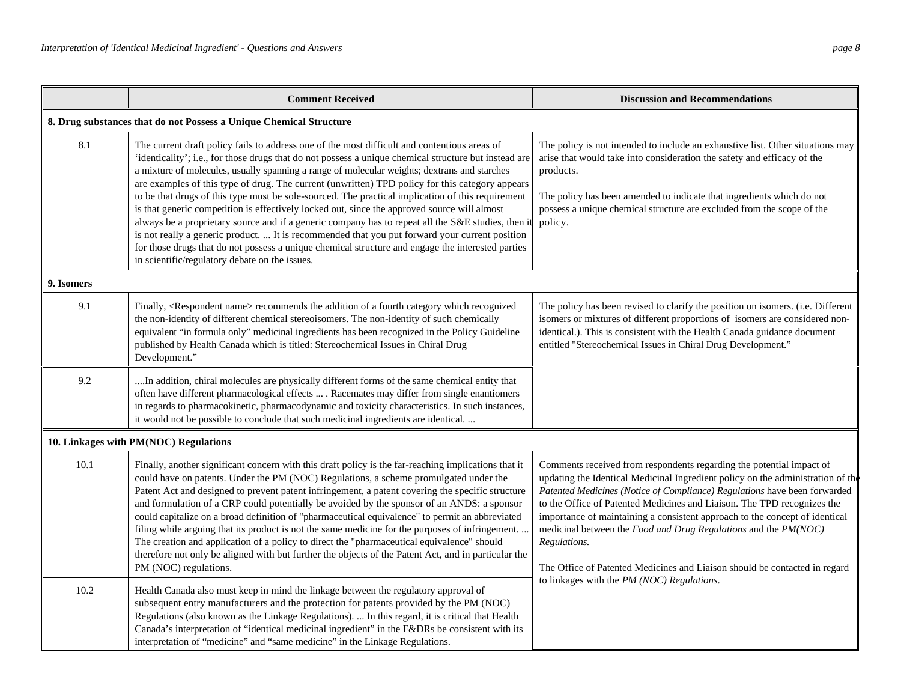|            | <b>Comment Received</b>                                                                                                                                                                                                                                                                                                                                                                                                                                                                                                                                                                                                                                                                                                                                                                                                                                                                                                                                                      | <b>Discussion and Recommendations</b>                                                                                                                                                                                                                                                                                                                                                                                                                                                                                                                                                                         |
|------------|------------------------------------------------------------------------------------------------------------------------------------------------------------------------------------------------------------------------------------------------------------------------------------------------------------------------------------------------------------------------------------------------------------------------------------------------------------------------------------------------------------------------------------------------------------------------------------------------------------------------------------------------------------------------------------------------------------------------------------------------------------------------------------------------------------------------------------------------------------------------------------------------------------------------------------------------------------------------------|---------------------------------------------------------------------------------------------------------------------------------------------------------------------------------------------------------------------------------------------------------------------------------------------------------------------------------------------------------------------------------------------------------------------------------------------------------------------------------------------------------------------------------------------------------------------------------------------------------------|
|            | 8. Drug substances that do not Possess a Unique Chemical Structure                                                                                                                                                                                                                                                                                                                                                                                                                                                                                                                                                                                                                                                                                                                                                                                                                                                                                                           |                                                                                                                                                                                                                                                                                                                                                                                                                                                                                                                                                                                                               |
| 8.1        | The current draft policy fails to address one of the most difficult and contentious areas of<br>'identicality'; i.e., for those drugs that do not possess a unique chemical structure but instead are<br>a mixture of molecules, usually spanning a range of molecular weights; dextrans and starches<br>are examples of this type of drug. The current (unwritten) TPD policy for this category appears<br>to be that drugs of this type must be sole-sourced. The practical implication of this requirement<br>is that generic competition is effectively locked out, since the approved source will almost<br>always be a proprietary source and if a generic company has to repeat all the S&E studies, then it<br>is not really a generic product.  It is recommended that you put forward your current position<br>for those drugs that do not possess a unique chemical structure and engage the interested parties<br>in scientific/regulatory debate on the issues. | The policy is not intended to include an exhaustive list. Other situations may<br>arise that would take into consideration the safety and efficacy of the<br>products.<br>The policy has been amended to indicate that ingredients which do not<br>possess a unique chemical structure are excluded from the scope of the<br>policy.                                                                                                                                                                                                                                                                          |
| 9. Isomers |                                                                                                                                                                                                                                                                                                                                                                                                                                                                                                                                                                                                                                                                                                                                                                                                                                                                                                                                                                              |                                                                                                                                                                                                                                                                                                                                                                                                                                                                                                                                                                                                               |
| 9.1        | Finally, <respondent name=""> recommends the addition of a fourth category which recognized<br/>the non-identity of different chemical stereoisomers. The non-identity of such chemically<br/>equivalent "in formula only" medicinal ingredients has been recognized in the Policy Guideline<br/>published by Health Canada which is titled: Stereochemical Issues in Chiral Drug<br/>Development."</respondent>                                                                                                                                                                                                                                                                                                                                                                                                                                                                                                                                                             | The policy has been revised to clarify the position on isomers. (i.e. Different<br>isomers or mixtures of different proportions of isomers are considered non-<br>identical.). This is consistent with the Health Canada guidance document<br>entitled "Stereochemical Issues in Chiral Drug Development."                                                                                                                                                                                                                                                                                                    |
| 9.2        | In addition, chiral molecules are physically different forms of the same chemical entity that<br>often have different pharmacological effects  . Racemates may differ from single enantiomers<br>in regards to pharmacokinetic, pharmacodynamic and toxicity characteristics. In such instances,<br>it would not be possible to conclude that such medicinal ingredients are identical.                                                                                                                                                                                                                                                                                                                                                                                                                                                                                                                                                                                      |                                                                                                                                                                                                                                                                                                                                                                                                                                                                                                                                                                                                               |
|            | 10. Linkages with PM(NOC) Regulations                                                                                                                                                                                                                                                                                                                                                                                                                                                                                                                                                                                                                                                                                                                                                                                                                                                                                                                                        |                                                                                                                                                                                                                                                                                                                                                                                                                                                                                                                                                                                                               |
| 10.1       | Finally, another significant concern with this draft policy is the far-reaching implications that it<br>could have on patents. Under the PM (NOC) Regulations, a scheme promulgated under the<br>Patent Act and designed to prevent patent infringement, a patent covering the specific structure<br>and formulation of a CRP could potentially be avoided by the sponsor of an ANDS: a sponsor<br>could capitalize on a broad definition of "pharmaceutical equivalence" to permit an abbreviated<br>filing while arguing that its product is not the same medicine for the purposes of infringement.<br>The creation and application of a policy to direct the "pharmaceutical equivalence" should<br>therefore not only be aligned with but further the objects of the Patent Act, and in particular the<br>PM (NOC) regulations.                                                                                                                                         | Comments received from respondents regarding the potential impact of<br>updating the Identical Medicinal Ingredient policy on the administration of the<br>Patented Medicines (Notice of Compliance) Regulations have been forwarded<br>to the Office of Patented Medicines and Liaison. The TPD recognizes the<br>importance of maintaining a consistent approach to the concept of identical<br>medicinal between the Food and Drug Regulations and the PM(NOC)<br>Regulations.<br>The Office of Patented Medicines and Liaison should be contacted in regard<br>to linkages with the PM (NOC) Regulations. |
| 10.2       | Health Canada also must keep in mind the linkage between the regulatory approval of<br>subsequent entry manufacturers and the protection for patents provided by the PM (NOC)<br>Regulations (also known as the Linkage Regulations).  In this regard, it is critical that Health<br>Canada's interpretation of "identical medicinal ingredient" in the F&DRs be consistent with its<br>interpretation of "medicine" and "same medicine" in the Linkage Regulations.                                                                                                                                                                                                                                                                                                                                                                                                                                                                                                         |                                                                                                                                                                                                                                                                                                                                                                                                                                                                                                                                                                                                               |